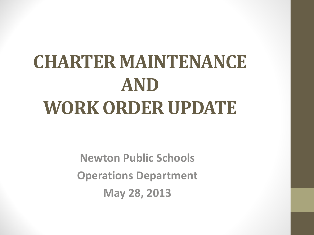# **CHARTER MAINTENANCE AND WORK ORDER UPDATE**

**Newton Public Schools Operations Department May 28, 2013**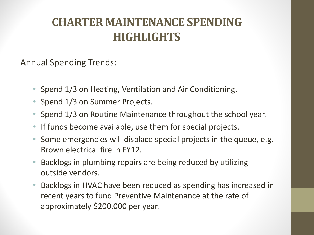## **CHARTER MAINTENANCE SPENDING HIGHLIGHTS**

Annual Spending Trends:

- Spend 1/3 on Heating, Ventilation and Air Conditioning.
- Spend 1/3 on Summer Projects.
- Spend 1/3 on Routine Maintenance throughout the school year.
- If funds become available, use them for special projects.
- Some emergencies will displace special projects in the queue, e.g. Brown electrical fire in FY12.
- Backlogs in plumbing repairs are being reduced by utilizing outside vendors.
- Backlogs in HVAC have been reduced as spending has increased in recent years to fund Preventive Maintenance at the rate of approximately \$200,000 per year.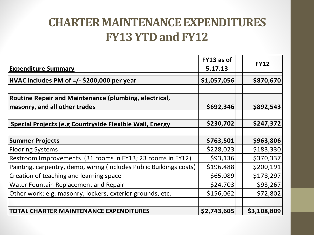## **CHARTER MAINTENANCE EXPENDITURES FY13 YTD and FY12**

|                                                                                        | FY13 as of  | <b>FY12</b> |
|----------------------------------------------------------------------------------------|-------------|-------------|
| <b>Expenditure Summary</b>                                                             | 5.17.13     |             |
| HVAC includes PM of =/- \$200,000 per year                                             | \$1,057,056 | \$870,670   |
| Routine Repair and Maintenance (plumbing, electrical,<br>masonry, and all other trades | \$692,346   | \$892,543   |
| Special Projects (e.g Countryside Flexible Wall, Energy                                | \$230,702   | \$247,372   |
| <b>Summer Projects</b>                                                                 | \$763,501   | \$963,806   |
| <b>Flooring Systems</b>                                                                | \$228,023   | \$183,330   |
| Restroom Improvements (31 rooms in FY13; 23 rooms in FY12)                             | \$93,136    | \$370,337   |
| Painting, carpentry, demo, wiring (includes Public Buildings costs)                    | \$196,488   | \$200,191   |
| Creation of teaching and learning space                                                | \$65,089    | \$178,297   |
| Water Fountain Replacement and Repair                                                  | \$24,703    | \$93,267    |
| Other work: e.g. masonry, lockers, exterior grounds, etc.                              | \$156,062   | \$72,802    |
| <b>TOTAL CHARTER MAINTENANCE EXPENDITURES</b>                                          | \$2,743,605 | \$3,108,809 |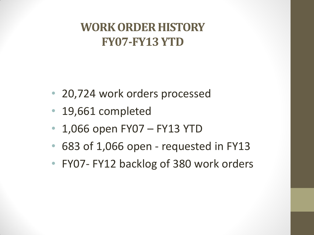## **WORK ORDER HISTORY FY07-FY13 YTD**

- 20,724 work orders processed
- 19,661 completed
- 1,066 open FY07 FY13 YTD
- 683 of 1,066 open requested in FY13
- FY07- FY12 backlog of 380 work orders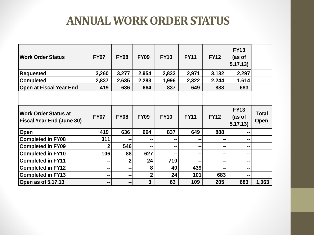#### **ANNUAL WORK ORDER STATUS**

| <b>Work Order Status</b>                                        | <b>FY07</b> | <b>FY08</b> | <b>FY09</b>  | <b>FY10</b> | <b>FY11</b> | <b>FY12</b> | <b>FY13</b><br>(as of<br>5.17.13) |                             |
|-----------------------------------------------------------------|-------------|-------------|--------------|-------------|-------------|-------------|-----------------------------------|-----------------------------|
| <b>Requested</b>                                                | 3,260       | 3,277       | 2,954        | 2,833       | 2,971       | 3,132       | 2,297                             |                             |
| <b>Completed</b>                                                | 2,837       | 2,635       | 2,283        | 1,996       | 2,322       | 2,244       | 1,614                             |                             |
| <b>Open at Fiscal Year End</b>                                  | 419         | 636         | 664          | 837         | 649         | 888         | 683                               |                             |
|                                                                 |             |             |              |             |             |             |                                   |                             |
| <b>Work Order Status at</b><br><b>Fiscal Year End (June 30)</b> | <b>FY07</b> | <b>FY08</b> | <b>FY09</b>  | <b>FY10</b> | <b>FY11</b> | <b>FY12</b> | <b>FY13</b><br>(as of<br>5.17.13) | <b>Total</b><br><b>Open</b> |
| Open                                                            | 419         | 636         | 664          | 837         | 649         | 888         | --                                |                             |
| Completed in FY08                                               | 311         | --          |              | --          | --          | ж.          | --                                |                             |
| <b>Completed in FY09</b>                                        | $\mathbf 2$ | 546         |              | --          | --          | --          | --                                |                             |
| <b>Completed in FY10</b>                                        | 106         | 88          | 627          | --          | --          | --          | --                                |                             |
| <b>Completed in FY11</b>                                        | --          | $\mathbf 2$ | 24           | 710         | --          | --          | --                                |                             |
| <b>Completed in FY12</b>                                        | --          | --          | 8            | 40          | 439         | --          | --                                |                             |
| <b>Completed in FY13</b>                                        | --          | --          | $\mathbf{2}$ | 24          | 101         | 683         | --                                |                             |
| Open as of $5.17.13$                                            | --          | --          | 3            | 63          | 109         | 205         | 683                               | 1,063                       |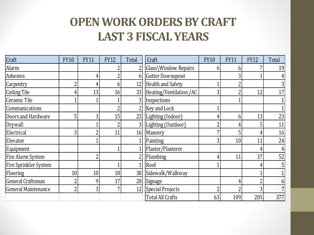#### **OPEN WORK ORDERS BY CRAFT LAST 3 FISCAL YEARS**

| Craft                 | <b>FY10</b>    | <b>FY11</b> | <b>FY12</b> | Total           | Craft                    | <b>FY10</b>    | <b>FY11</b>     | <b>FY12</b> | Total |
|-----------------------|----------------|-------------|-------------|-----------------|--------------------------|----------------|-----------------|-------------|-------|
| Alarm                 |                |             |             |                 | Glass\Window Repairs     | b              | h               |             | 19    |
| Asbestos              |                |             |             | 6               | <b>Gutter Downspout</b>  |                |                 |             |       |
| Carpentry             | 2              | 4           | 6           | 12              | <b>Health and Safety</b> |                |                 |             |       |
| <b>Ceiling Tile</b>   | 4              | 13          | 16          | 33              | Heating/Ventilation/AC   | 3              |                 | 12          | 17    |
| Ceramic Tile          |                |             |             |                 | Inspections              |                |                 |             |       |
| Communications        |                |             |             |                 | <b>Key and Lock</b>      |                |                 |             |       |
| Doors and Hardware    | 5              | 3           | 15          | 23              | Lighting (Indoor)        |                | 6               | 13          | 23    |
| Drywall               |                |             |             |                 | Lighting (Outdoor)       | η              |                 |             | 11    |
| Electrical            | 3              |             | 11          | 16              | Masonry                  | 7              |                 |             | 16    |
| Elevator              |                |             |             |                 | Painting                 | 3              | 10 <sup>1</sup> | 11          | 24    |
| Equipment             |                |             |             |                 | Plaster/Plasterer        |                |                 | 4           |       |
| Fire Alarm System     |                | ŋ           |             |                 | Plumbing                 | 4              | 11 <sub>1</sub> | 37          | 52    |
| Fire Sprinkler System |                |             |             |                 | Roof                     |                |                 |             |       |
| Flooring              | 10             | 10          | 18          | 38              | Sidewalk/Walkway         |                |                 |             |       |
| General Craftsman     | $\overline{2}$ | 9           | 17          | 28              | Signage                  |                |                 |             |       |
| General Maintenance   | $\overline{2}$ | 3           |             | 12 <sub>l</sub> | Special Projects         | $\overline{2}$ |                 |             |       |
|                       |                |             |             |                 | <b>Total All Crafts</b>  | 63             | 109             | 205         | 377   |